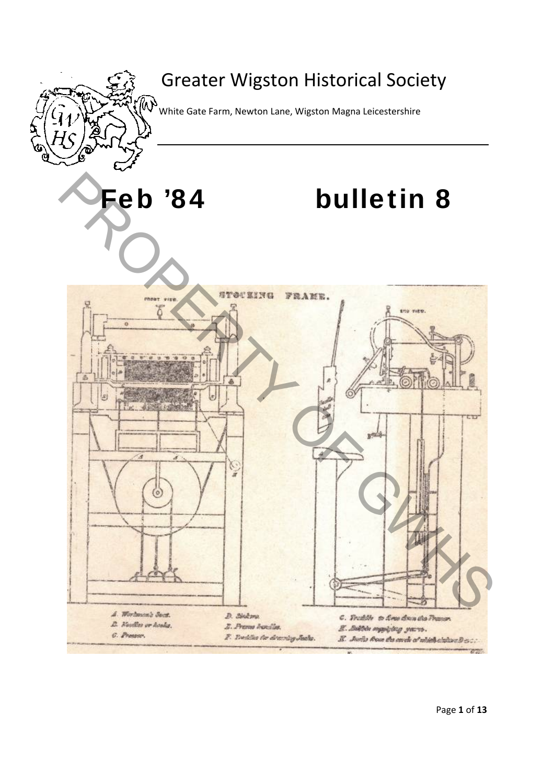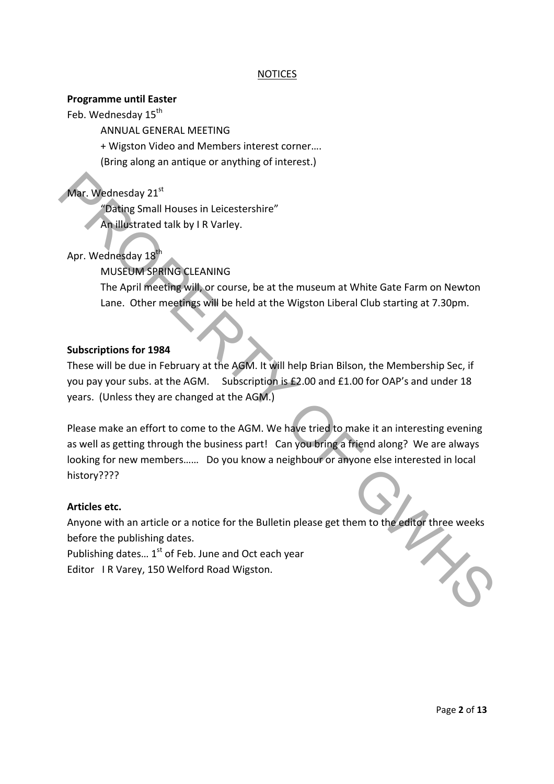## NOTICES

#### **Programme until Easter**

Feb. Wednesday 15<sup>th</sup>

ANNUAL GENERAL MEETING

+ Wigston Video and Members interest corner….

(Bring along an antique or anything of interest.)

# Mar. Wednesday 21st

"Dating Small Houses in Leicestershire"

An illustrated talk by I R Varley.

Apr. Wednesday 18<sup>th</sup>

MUSEUM SPRING CLEANING

The April meeting will, or course, be at the museum at White Gate Farm on Newton Lane. Other meetings will be held at the Wigston Liberal Club starting at 7.30pm.

## **Subscriptions for 1984**

These will be due in February at the AGM. It will help Brian Bilson, the Membership Sec, if you pay your subs. at the AGM. Subscription is £2.00 and £1.00 for OAP's and under 18 years. (Unless they are changed at the AGM.)

Please make an effort to come to the AGM. We have tried to make it an interesting evening as well as getting through the business part! Can you bring a friend along? We are always looking for new members…… Do you know a neighbour or anyone else interested in local history???? Mar. Wednesday 21<sup>5</sup><br>
"Dating Small Houses in Leicestershire"<br>
An Illustrated talk by I R Varley.<br>
Apr. Wednesday 13<sup>8</sup><br>
MUSEUM SPRING CLEANING<br>
The April meeting will, or course, be at the museum at White Gate Farm on Ne

## **Articles etc.**

Anyone with an article or a notice for the Bulletin please get them to the editor three weeks before the publishing dates.

Publishing dates...  $1^{st}$  of Feb. June and Oct each year Editor IR Varey, 150 Welford Road Wigston.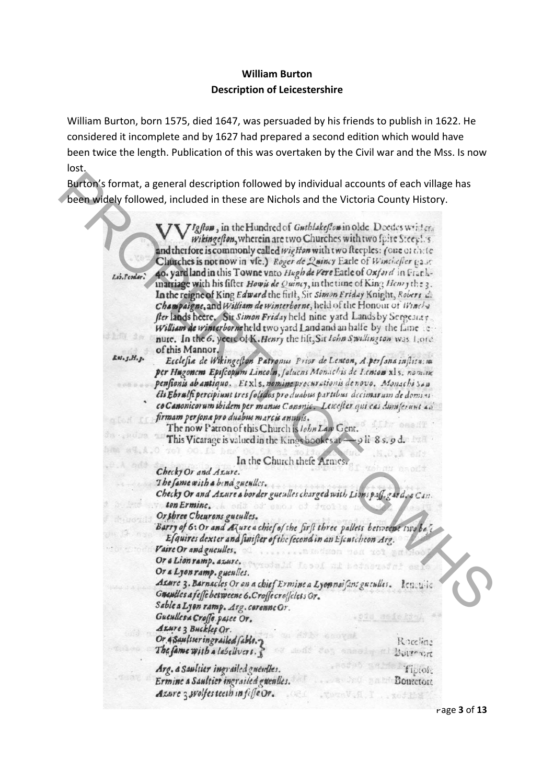# **William Burton Description of Leicestershire**

William Burton, born 1575, died 1647, was persuaded by his friends to publish in 1622. He considered it incomplete and by 1627 had prepared a second edition which would have been twice the length. Publication of this was overtaken by the Civil war and the Mss. Is now lost.

|              | Burton's format, a general description followed by individual accounts of each village has<br>been widely followed, included in these are Nichols and the Victoria County History.                                                                                                                                                                                                                                                                                                                                                                                                                                                                                                  |
|--------------|-------------------------------------------------------------------------------------------------------------------------------------------------------------------------------------------------------------------------------------------------------------------------------------------------------------------------------------------------------------------------------------------------------------------------------------------------------------------------------------------------------------------------------------------------------------------------------------------------------------------------------------------------------------------------------------|
| Lib.Feodar.  | [Igfton, in the Hundred of Guthlakeflow in olde Deedes written<br>wikingefton, wherein are two Churches with two fpire Steep !. s.<br>and therfore is commonly called wighton with two fleeples: (one of the fe<br>Churches is not now in vfe.) Roger de Quincy Earle of Winchefter pair.<br>40. yard land in this Towne vnto Hugh de Vere Earle of Oxford in Frank-<br>inarriage with his fifter How is de Quincy, in the time of King Henry the 3.<br>In the reigne of King Edward the first, Sir Simon Friday Knight, Robert L.<br>Champaigne, and William de winterborne, held of the Honour of Winches<br>fler lands heere, Six Simon Friday held nine yard Lands by Sergesias |
|              | William de winterborneheld two yard Land and an halfe by the fame te-<br>nute. In the 6, yeere of K. Henry the fift, Sit Ichn Swillington was Lore.                                                                                                                                                                                                                                                                                                                                                                                                                                                                                                                                 |
| Ess. S.H. s. | of this Mannor.<br>Ecclesia de Wikingeston Patronus Prior de Lenton, A.persana instituta                                                                                                                                                                                                                                                                                                                                                                                                                                                                                                                                                                                            |
|              | per Hugonem Episcopum Lincoln, faluens Monachis de Lenton x15, nomane<br>pensionis ab antiquo. Et xl s. nomine procurationis de novo. Monschi San                                                                                                                                                                                                                                                                                                                                                                                                                                                                                                                                   |
|              | Ets Ebralfi percipiunt tres folidos pro duabus partibus decimarum de domini                                                                                                                                                                                                                                                                                                                                                                                                                                                                                                                                                                                                         |
|              | co Canonicorum ibidem per manus Canonic. Leicester qui cas dum ferunt ad                                                                                                                                                                                                                                                                                                                                                                                                                                                                                                                                                                                                            |
|              | firmam per sona pro duabus marcis annuis.<br>easile<br>The now Patron of this Church is <i>Iohn Law</i> Gent.                                                                                                                                                                                                                                                                                                                                                                                                                                                                                                                                                                       |
|              | This Vicarage is valued in the Kings bookes at - 9 li 8 s. 9 d.                                                                                                                                                                                                                                                                                                                                                                                                                                                                                                                                                                                                                     |
|              | 50 J                                                                                                                                                                                                                                                                                                                                                                                                                                                                                                                                                                                                                                                                                |
|              | In the Church thefe Armes.<br>Checky Or and Azure.                                                                                                                                                                                                                                                                                                                                                                                                                                                                                                                                                                                                                                  |
|              | The fame with a bind gueulles.                                                                                                                                                                                                                                                                                                                                                                                                                                                                                                                                                                                                                                                      |
|              | Checky Or and Azure a border gueulles charged with Lions p.f. g.srd. & Can.<br>ton Ermine. A only od smoo of frolls                                                                                                                                                                                                                                                                                                                                                                                                                                                                                                                                                                 |
|              | Or shree Cheurons gueulles.                                                                                                                                                                                                                                                                                                                                                                                                                                                                                                                                                                                                                                                         |
|              | Barry of 6: Or and Azure a chief of the first three pallets betweene two be                                                                                                                                                                                                                                                                                                                                                                                                                                                                                                                                                                                                         |
|              | Esquires dexter and staister of the second in an Escatcheon Arg.<br>Vaire Or and gueulles.                                                                                                                                                                                                                                                                                                                                                                                                                                                                                                                                                                                          |
|              | N.  Bind<br>Or a Lion ramp. azure.                                                                                                                                                                                                                                                                                                                                                                                                                                                                                                                                                                                                                                                  |
|              | oof af Lejasta<br>Or a Lyon ramp. gueulles.                                                                                                                                                                                                                                                                                                                                                                                                                                                                                                                                                                                                                                         |
|              | Azure 3. Barnacles Or on a chief Ermine a Lyon naifant gueulles.<br>lencu-ic                                                                                                                                                                                                                                                                                                                                                                                                                                                                                                                                                                                                        |
|              | Gueniles a fesse betweene 6.Croffe croffelets Gr.<br>Sable a Lyon ramp. Arg. corenne Or.                                                                                                                                                                                                                                                                                                                                                                                                                                                                                                                                                                                            |
|              | Guenllesa Croffe pasee Or.<br>pia seiehtu                                                                                                                                                                                                                                                                                                                                                                                                                                                                                                                                                                                                                                           |
|              | Azure 3 Buckles Or.<br>u da Afir erovak                                                                                                                                                                                                                                                                                                                                                                                                                                                                                                                                                                                                                                             |
|              | Or 4 Saultser ingrailed fable.<br>Roccline<br>The fame with a labelly cre.<br>mais don announ al Burrant                                                                                                                                                                                                                                                                                                                                                                                                                                                                                                                                                                            |
|              | Arg. a Saultier ingrailed gueudles.<br>fiptor:                                                                                                                                                                                                                                                                                                                                                                                                                                                                                                                                                                                                                                      |
|              | Ermine a Saultier ingrailed gwenlles.<br><b>Boutetoil</b>                                                                                                                                                                                                                                                                                                                                                                                                                                                                                                                                                                                                                           |
|              | Azure 3 wolfes teeth in fife Or.<br>FautaV.H.I  xofing                                                                                                                                                                                                                                                                                                                                                                                                                                                                                                                                                                                                                              |
|              |                                                                                                                                                                                                                                                                                                                                                                                                                                                                                                                                                                                                                                                                                     |

Page **3** of **13**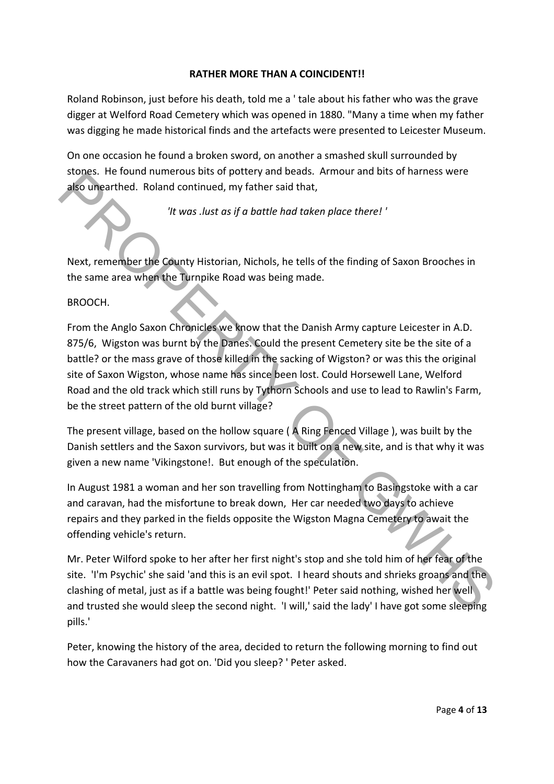## **RATHER MORE THAN A COINCIDENT!!**

Roland Robinson, just before his death, told me a ' tale about his father who was the grave digger at Welford Road Cemetery which was opened in 1880. "Many a time when my father was digging he made historical finds and the artefacts were presented to Leicester Museum.

On one occasion he found a broken sword, on another a smashed skull surrounded by stones. He found numerous bits of pottery and beads. Armour and bits of harness were also unearthed. Roland continued, my father said that,

*'It was .lust as if a battle had taken place there! '*

Next, remember the County Historian, Nichols, he tells of the finding of Saxon Brooches in the same area when the Turnpike Road was being made.

#### BROOCH.

From the Anglo Saxon Chronicles we know that the Danish Army capture Leicester in A.D. 875/6, Wigston was burnt by the Danes. Could the present Cemetery site be the site of a battle? or the mass grave of those killed in the sacking of Wigston? or was this the original site of Saxon Wigston, whose name has since been lost. Could Horsewell Lane, Welford Road and the old track which still runs by Tythorn Schools and use to lead to Rawlin's Farm, be the street pattern of the old burnt village? sides the control with the counter of the offering the the materials and the control and the side of the material and the side of the side and the side of the side side of the side of the side of the side side.<br>
Wext, reme

The present village, based on the hollow square ( A Ring Fenced Village ), was built by the Danish settlers and the Saxon survivors, but was it built on a new site, and is that why it was given a new name 'Vikingstone!. But enough of the speculation.

In August 1981 a woman and her son travelling from Nottingham to Basingstoke with a car and caravan, had the misfortune to break down, Her car needed two days to achieve repairs and they parked in the fields opposite the Wigston Magna Cemetery to await the offending vehicle's return.

Mr. Peter Wilford spoke to her after her first night's stop and she told him of her fear of the site. 'I'm Psychic' she said 'and this is an evil spot. I heard shouts and shrieks groans and the clashing of metal, just as if a battle was being fought!' Peter said nothing, wished her well and trusted she would sleep the second night. 'I will,' said the lady' I have got some sleeping pills.'

Peter, knowing the history of the area, decided to return the following morning to find out how the Caravaners had got on. 'Did you sleep? ' Peter asked.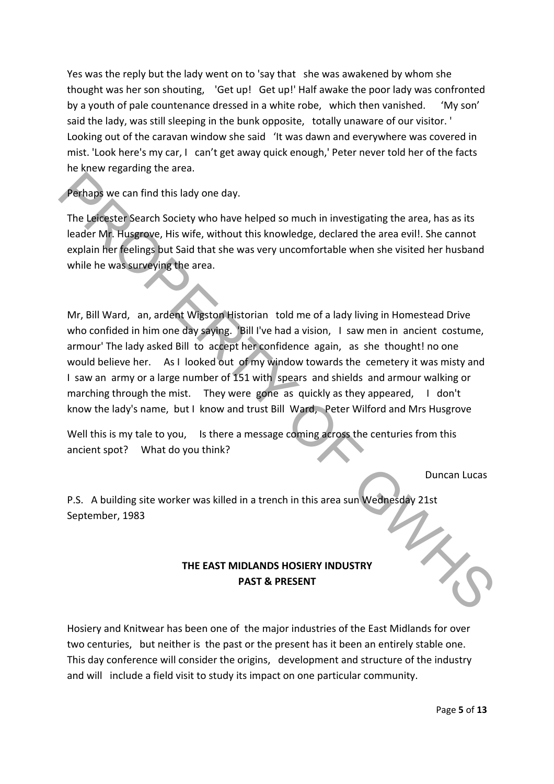Yes was the reply but the lady went on to 'say that she was awakened by whom she thought was her son shouting, 'Get up! Get up!' Half awake the poor lady was confronted by a youth of pale countenance dressed in a white robe, which then vanished. 'My son' said the lady, was still sleeping in the bunk opposite, totally unaware of our visitor. ' Looking out of the caravan window she said 'It was dawn and everywhere was covered in mist. 'Look here's my car, I can't get away quick enough,' Peter never told her of the facts he knew regarding the area.

Perhaps we can find this lady one day.

The Leicester Search Society who have helped so much in investigating the area, has as its leader Mr. Husgrove, His wife, without this knowledge, declared the area evil!. She cannot explain her feelings but Said that she was very uncomfortable when she visited her husband while he was surveying the area.

Mr, Bill Ward, an, ardent Wigston Historian told me of a lady living in Homestead Drive who confided in him one day saying. 'Bill I've had a vision, I saw men in ancient costume, armour' The lady asked Bill to accept her confidence again, as she thought! no one would believe her. As I looked out of my window towards the cemetery it was misty and I saw an army or a large number of 151 with spears and shields and armour walking or marching through the mist. They were gone as quickly as they appeared, I don't know the lady's name, but I know and trust Bill Ward, Peter Wilford and Mrs Husgrove For the Left School of the May the ended to much in investigating the area, has as its<br>
The Left Scarch Society who have helped so much in investigating the area, has as its<br>
The Left Scarch Society who have helped so much

Well this is my tale to you, Is there a message coming across the centuries from this ancient spot? What do you think?

Duncan Lucas

P.S. A building site worker was killed in a trench in this area sun Wednesday 21st September, 1983

# **THE EAST MIDLANDS HOSIERY INDUSTRY PAST & PRESENT**

Hosiery and Knitwear has been one of the major industries of the East Midlands for over two centuries, but neither is the past or the present has it been an entirely stable one. This day conference will consider the origins, development and structure of the industry and will include a field visit to study its impact on one particular community.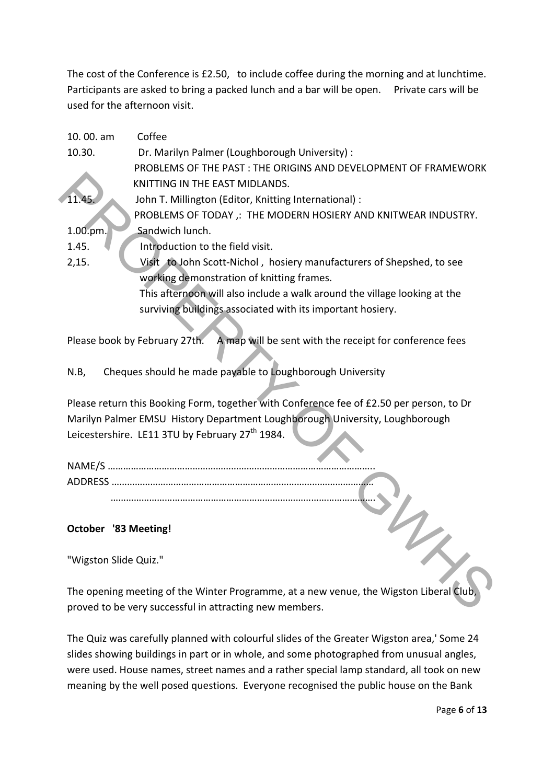The cost of the Conference is £2.50, to include coffee during the morning and at lunchtime. Participants are asked to bring a packed lunch and a bar will be open. Private cars will be used for the afternoon visit.

| 10.00. am                                                                                | Coffee                                                                                   |  |  |  |
|------------------------------------------------------------------------------------------|------------------------------------------------------------------------------------------|--|--|--|
| 10.30.                                                                                   | Dr. Marilyn Palmer (Loughborough University) :                                           |  |  |  |
|                                                                                          | PROBLEMS OF THE PAST : THE ORIGINS AND DEVELOPMENT OF FRAMEWORK                          |  |  |  |
|                                                                                          | KNITTING IN THE EAST MIDLANDS.                                                           |  |  |  |
| 11.45                                                                                    | John T. Millington (Editor, Knitting International) :                                    |  |  |  |
|                                                                                          | PROBLEMS OF TODAY, : THE MODERN HOSIERY AND KNITWEAR INDUSTRY.                           |  |  |  |
| 1.00.pm.                                                                                 | Sandwich lunch.                                                                          |  |  |  |
| 1.45.                                                                                    | Introduction to the field visit.                                                         |  |  |  |
| 2,15.                                                                                    | Visit to John Scott-Nichol, hosiery manufacturers of Shepshed, to see                    |  |  |  |
|                                                                                          | working demonstration of knitting frames.                                                |  |  |  |
|                                                                                          | This afternoon will also include a walk around the village looking at the                |  |  |  |
|                                                                                          | surviving buildings associated with its important hosiery.                               |  |  |  |
|                                                                                          |                                                                                          |  |  |  |
| A map will be sent with the receipt for conference fees<br>Please book by February 27th. |                                                                                          |  |  |  |
|                                                                                          |                                                                                          |  |  |  |
| N.B,                                                                                     | Cheques should he made payable to Loughborough University                                |  |  |  |
|                                                                                          |                                                                                          |  |  |  |
|                                                                                          | Please return this Booking Form, together with Conference fee of £2.50 per person, to Dr |  |  |  |
|                                                                                          | Marilyn Palmer EMSU History Department Loughborough University, Loughborough             |  |  |  |
|                                                                                          | Leicestershire. LE11 3TU by February 27 <sup>th</sup> 1984.                              |  |  |  |
|                                                                                          |                                                                                          |  |  |  |
|                                                                                          |                                                                                          |  |  |  |
|                                                                                          |                                                                                          |  |  |  |
|                                                                                          |                                                                                          |  |  |  |
|                                                                                          |                                                                                          |  |  |  |
| <b>October '83 Meeting!</b>                                                              |                                                                                          |  |  |  |
|                                                                                          |                                                                                          |  |  |  |
| "Wigston Slide Quiz."                                                                    |                                                                                          |  |  |  |
|                                                                                          |                                                                                          |  |  |  |
| The opening meeting of the Winter Programme, at a new venue, the Wigston Liberal Club,   |                                                                                          |  |  |  |
| proved to be very successful in attracting new members.                                  |                                                                                          |  |  |  |

# **October '83 Meeting!**

The opening meeting of the Winter Programme, at a new venue, the Wigston Liberal Club, proved to be very successful in attracting new members.

The Quiz was carefully planned with colourful slides of the Greater Wigston area,' Some 24 slides showing buildings in part or in whole, and some photographed from unusual angles, were used. House names, street names and a rather special lamp standard, all took on new meaning by the well posed questions. Everyone recognised the public house on the Bank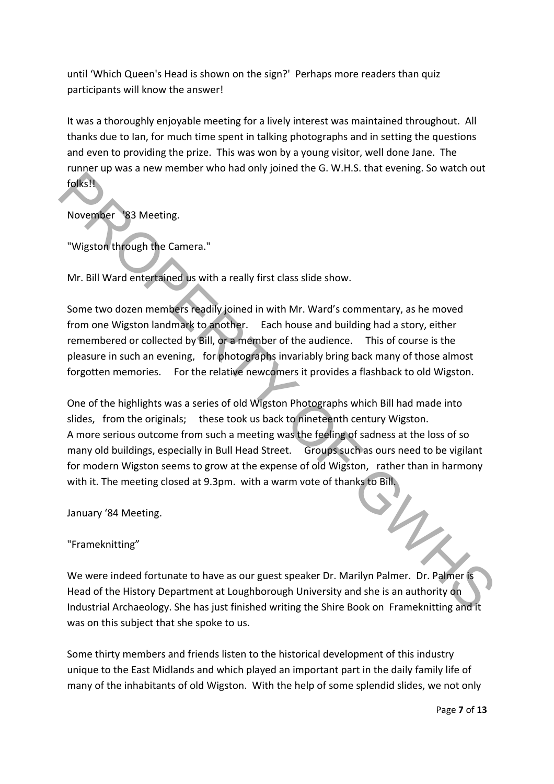until 'Which Queen's Head is shown on the sign?' Perhaps more readers than quiz participants will know the answer!

It was a thoroughly enjoyable meeting for a lively interest was maintained throughout. All thanks due to Ian, for much time spent in talking photographs and in setting the questions and even to providing the prize. This was won by a young visitor, well done Jane. The runner up was a new member who had only joined the G. W.H.S. that evening. So watch out folks!!

November '83 Meeting.

"Wigston through the Camera."

Mr. Bill Ward entertained us with a really first class slide show.

Some two dozen members readily joined in with Mr. Ward's commentary, as he moved from one Wigston landmark to another. Each house and building had a story, either remembered or collected by Bill, or a member of the audience. This of course is the pleasure in such an evening, for photographs invariably bring back many of those almost forgotten memories. For the relative newcomers it provides a flashback to old Wigston.

One of the highlights was a series of old Wigston Photographs which Bill had made into slides, from the originals; these took us back to nineteenth century Wigston. A more serious outcome from such a meeting was the feeling of sadness at the loss of so many old buildings, especially in Bull Head Street. Groups such as ours need to be vigilant for modern Wigston seems to grow at the expense of old Wigston, rather than in harmony with it. The meeting closed at 9.3pm. with a warm vote of thanks to Bill. Folks It New York of Gallery and the state of the State of the State of the State included the State included the State is not the United States included to the State included to the State included to the state of the stat

January '84 Meeting.

"Frameknitting"

We were indeed fortunate to have as our guest speaker Dr. Marilyn Palmer. Dr. Palmer is Head of the History Department at Loughborough University and she is an authority on Industrial Archaeology. She has just finished writing the Shire Book on Frameknitting and it was on this subject that she spoke to us.

Some thirty members and friends listen to the historical development of this industry unique to the East Midlands and which played an important part in the daily family life of many of the inhabitants of old Wigston. With the help of some splendid slides, we not only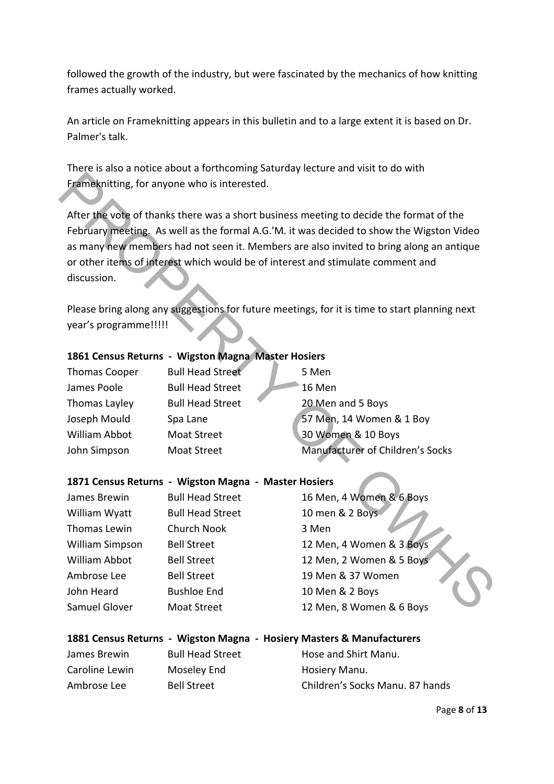followed the growth of the industry, but were fascinated by the mechanics of how knitting frames actually worked.

An article on Frameknitting appears in this bulletin and to a large extent it is based on Dr. Palmer's talk.

There is also a notice about a forthcoming Saturday lecture and visit to do with Frameknitting, for anyone who is interested.

## **1861 Census Returns ‐ Wigston Magna Master Hosiers**

| <b>Thomas Cooper</b> | <b>Bull Head Street</b> | 5 Men                            |
|----------------------|-------------------------|----------------------------------|
| James Poole          | <b>Bull Head Street</b> | 16 Men                           |
| Thomas Layley        | <b>Bull Head Street</b> | 20 Men and 5 Boys                |
| Joseph Mould         | Spa Lane                | 57 Men, 14 Women & 1 Boy         |
| William Abbot        | <b>Moat Street</b>      | 30 Women & 10 Boys               |
| John Simpson         | <b>Moat Street</b>      | Manufacturer of Children's Socks |

## **1871 Census Returns ‐ Wigston Magna ‐ Master Hosiers**

| Frameknitting, for anyone who is interested.                                                                                                                                                                                                                                                                                                                                     |                                                    |                                                                                               |  |  |  |
|----------------------------------------------------------------------------------------------------------------------------------------------------------------------------------------------------------------------------------------------------------------------------------------------------------------------------------------------------------------------------------|----------------------------------------------------|-----------------------------------------------------------------------------------------------|--|--|--|
| After the vote of thanks there was a short business meeting to decide the format of the<br>February meeting. As well as the formal A.G.'M. it was decided to show the Wigston Video<br>as many new members had not seen it. Members are also invited to bring along an antique<br>or other items of interest which would be of interest and stimulate comment and<br>discussion. |                                                    |                                                                                               |  |  |  |
|                                                                                                                                                                                                                                                                                                                                                                                  |                                                    | Please bring along any suggestions for future meetings, for it is time to start planning next |  |  |  |
| year's programme!!!!!                                                                                                                                                                                                                                                                                                                                                            |                                                    |                                                                                               |  |  |  |
|                                                                                                                                                                                                                                                                                                                                                                                  | 1861 Census Returns - Wigston Magna Master Hosiers |                                                                                               |  |  |  |
|                                                                                                                                                                                                                                                                                                                                                                                  |                                                    |                                                                                               |  |  |  |
| <b>Thomas Cooper</b>                                                                                                                                                                                                                                                                                                                                                             | <b>Bull Head Street</b>                            | 5 Men                                                                                         |  |  |  |
| James Poole                                                                                                                                                                                                                                                                                                                                                                      | <b>Bull Head Street</b>                            | 16 Men                                                                                        |  |  |  |
| Thomas Layley                                                                                                                                                                                                                                                                                                                                                                    | <b>Bull Head Street</b>                            | 20 Men and 5 Boys                                                                             |  |  |  |
| Joseph Mould                                                                                                                                                                                                                                                                                                                                                                     | Spa Lane                                           | 57 Men, 14 Women & 1 Boy                                                                      |  |  |  |
| <b>William Abbot</b>                                                                                                                                                                                                                                                                                                                                                             | <b>Moat Street</b>                                 | 30 Women & 10 Boys                                                                            |  |  |  |
| John Simpson                                                                                                                                                                                                                                                                                                                                                                     | <b>Moat Street</b>                                 | Manufacturer of Children's Socks                                                              |  |  |  |
| 1871 Census Returns - Wigston Magna - Master Hosiers                                                                                                                                                                                                                                                                                                                             |                                                    |                                                                                               |  |  |  |
| James Brewin                                                                                                                                                                                                                                                                                                                                                                     | <b>Bull Head Street</b>                            | 16 Men, 4 Women & 6 Boys                                                                      |  |  |  |
| William Wyatt                                                                                                                                                                                                                                                                                                                                                                    | <b>Bull Head Street</b>                            | 10 men & 2 Boys                                                                               |  |  |  |
| Thomas Lewin                                                                                                                                                                                                                                                                                                                                                                     | <b>Church Nook</b>                                 | 3 Men                                                                                         |  |  |  |
| William Simpson                                                                                                                                                                                                                                                                                                                                                                  | <b>Bell Street</b>                                 | 12 Men, 4 Women & 3 Boys                                                                      |  |  |  |
| <b>William Abbot</b>                                                                                                                                                                                                                                                                                                                                                             | <b>Bell Street</b>                                 | 12 Men, 2 Women & 5 Boys                                                                      |  |  |  |
| Ambrose Lee                                                                                                                                                                                                                                                                                                                                                                      | <b>Bell Street</b>                                 | 19 Men & 37 Women                                                                             |  |  |  |
| John Heard                                                                                                                                                                                                                                                                                                                                                                       | <b>Bushloe End</b>                                 | 10 Men & 2 Boys                                                                               |  |  |  |
| Samuel Glover                                                                                                                                                                                                                                                                                                                                                                    | <b>Moat Street</b>                                 | 12 Men, 8 Women & 6 Boys                                                                      |  |  |  |

|                |                         | 1881 Census Returns - Wigston Magna - Hosiery Masters & Manufacturers |
|----------------|-------------------------|-----------------------------------------------------------------------|
| James Brewin   | <b>Bull Head Street</b> | Hose and Shirt Manu.                                                  |
| Caroline Lewin | Moseley End             | Hosiery Manu.                                                         |
| Ambrose Lee    | <b>Bell Street</b>      | Children's Socks Manu. 87 hands                                       |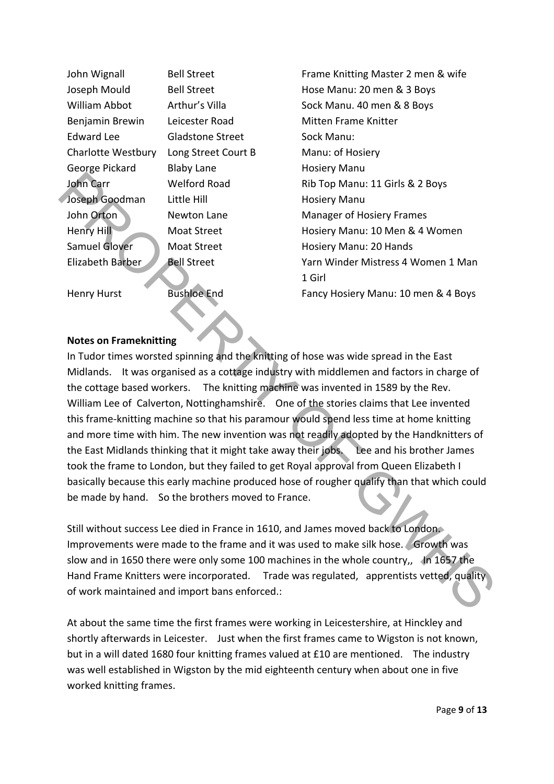William Abbot Arthur's Villa Sock Manu. 40 men & 8 Boys Benjamin Brewin Leicester Road Mitten Frame Knitter Edward Lee **Gladstone Street** Sock Manu: Charlotte Westbury Long Street Court B Manu: of Hosiery George Pickard Blaby Lane **Black Black Black Hosiery Manu** Joseph Goodman Little Hill **Bank Coodman** Little Hill **Hosiery Manu** John Orton **Newton Lane Manager of Hosiery Frames** Samuel Glover Moat Street Monumer Hosiery Manu: 20 Hands

**1 Girl 1 Girl** 

John Wignall Bell Street Frame Knitting Master 2 men & wife Joseph Mould Bell Street Hose Manu: 20 men & 3 Boys John Carr Welford Road Rib Top Manu: 11 Girls & 2 Boys Henry Hill Moat Street Manu: 10 Men & 4 Women Elizabeth Barber Bell Street **Bell Street** Yarn Winder Mistress 4 Women 1 Man Henry Hurst Bushloe End Fancy Hosiery Manu: 10 men & 4 Boys

## **Notes on Frameknitting**

In Tudor times worsted spinning and the knitting of hose was wide spread in the East Midlands. It was organised as a cottage industry with middlemen and factors in charge of the cottage based workers. The knitting machine was invented in 1589 by the Rev. William Lee of Calverton, Nottinghamshire. One of the stories claims that Lee invented this frame‐knitting machine so that his paramour would spend less time at home knitting and more time with him. The new invention was not readily adopted by the Handknitters of the East Midlands thinking that it might take away their jobs. Lee and his brother James took the frame to London, but they failed to get Royal approval from Queen Elizabeth I basically because this early machine produced hose of rougher qualify than that which could be made by hand. So the brothers moved to France. Final Transmitter Hill<br>
Montane Uniter Hill Henri Hosiery Manu: 11 Girls & 2 Boys<br>
Joseph Goodman Little Hill<br>
Mont Street<br>
Mont Street<br>
Henry Hill<br>
Mont Street<br>
Hill Menry Hill<br>
Mont Street<br>
Historical Monten Monten Minim

Still without success Lee died in France in 1610, and James moved back to London. Improvements were made to the frame and it was used to make silk hose. Growth was slow and in 1650 there were only some 100 machines in the whole country,, In 1657 the Hand Frame Knitters were incorporated. Trade was regulated, apprentists vetted, quality of work maintained and import bans enforced.:

At about the same time the first frames were working in Leicestershire, at Hinckley and shortly afterwards in Leicester. Just when the first frames came to Wigston is not known, but in a will dated 1680 four knitting frames valued at £10 are mentioned. The industry was well established in Wigston by the mid eighteenth century when about one in five worked knitting frames.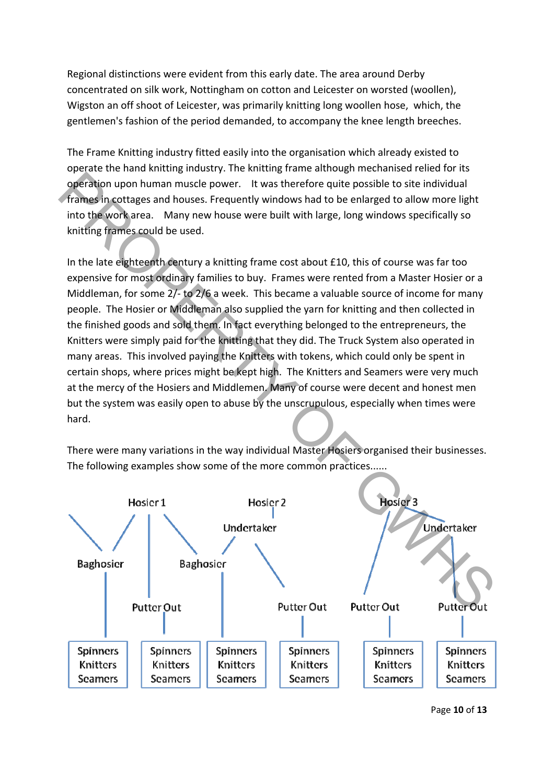Regional distinctions were evident from this early date. The area around Derby concentrated on silk work, Nottingham on cotton and Leicester on worsted (woollen), Wigston an off shoot of Leicester, was primarily knitting long woollen hose, which, the gentlemen's fashion of the period demanded, to accompany the knee length breeches.

The Frame Knitting industry fitted easily into the organisation which already existed to operate the hand knitting industry. The knitting frame although mechanised relied for its operation upon human muscle power. It was therefore quite possible to site individual frames in cottages and houses. Frequently windows had to be enlarged to allow more light into the work area. Many new house were built with large, long windows specifically so knitting frames could be used.

In the late eighteenth century a knitting frame cost about £10, this of course was far too expensive for most ordinary families to buy. Frames were rented from a Master Hosier or a Middleman, for some 2/- to 2/6 a week. This became a valuable source of income for many people. The Hosier or Middleman also supplied the yarn for knitting and then collected in the finished goods and sold them. In fact everything belonged to the entrepreneurs, the Knitters were simply paid for the knitting that they did. The Truck System also operated in many areas. This involved paying the Knitters with tokens, which could only be spent in certain shops, where prices might be kept high. The Knitters and Seamers were very much at the mercy of the Hosiers and Middlemen. Many of course were decent and honest men but the system was easily open to abuse by the unscrupulous, especially when times were hard. operation upon human muscle power. It was therefore quite possible to site individual<br>
frames in cottages and houses. Frequently windows had to be enlarged to site individual<br>
frames for cottages and houses. Frequently win

There were many variations in the way individual Master Hosiers organised their businesses. The following examples show some of the more common practices......



Page **10** of **13**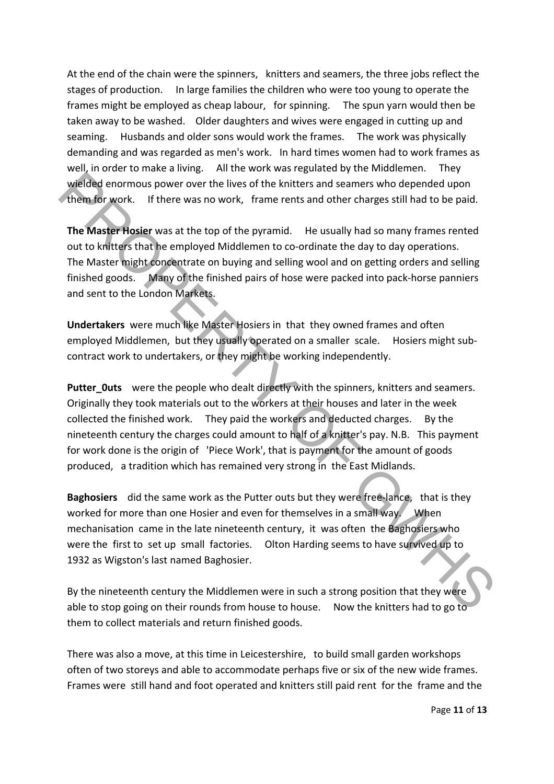At the end of the chain were the spinners, knitters and seamers, the three jobs reflect the stages of production. In large families the children who were too young to operate the frames might be employed as cheap labour, for spinning. The spun yarn would then be taken away to be washed. Older daughters and wives were engaged in cutting up and seaming. Husbands and older sons would work the frames. The work was physically demanding and was regarded as men's work. In hard times women had to work frames as well, in order to make a living. All the work was regulated by the Middlemen. They wielded enormous power over the lives of the knitters and seamers who depended upon them for work. If there was no work, frame rents and other charges still had to be paid.

**The Master Hosier** was at the top of the pyramid. He usually had so many frames rented out to knitters that he employed Middlemen to co-ordinate the day to day operations. The Master might concentrate on buying and selling wool and on getting orders and selling finished goods. Many of the finished pairs of hose were packed into pack-horse panniers and sent to the London Markets.

**Undertakers** were much like Master Hosiers in that they owned frames and often employed Middlemen, but they usually operated on a smaller scale. Hosiers might subcontract work to undertakers, or they might be working independently.

**Putter Outs** were the people who dealt directly with the spinners, knitters and seamers. Originally they took materials out to the workers at their houses and later in the week collected the finished work. They paid the workers and deducted charges. By the nineteenth century the charges could amount to half of a knitter's pay. N.B. This payment for work done is the origin of 'Piece Work', that is payment for the amount of goods produced, a tradition which has remained very strong in the East Midlands. wielded enormous power over the lives of the knitters and seamers who depended upon<br>
them for work. If there was no work, frame rents and other charges still had to be paid.<br>
The Master Hosier was at the top of the pyrami

**Baghosiers** did the same work as the Putter outs but they were free-lance, that is they worked for more than one Hosier and even for themselves in a small way. When mechanisation came in the late nineteenth century, it was often the Baghosiers who were the first to set up small factories. Olton Harding seems to have survived up to 1932 as Wigston's last named Baghosier.

By the nineteenth century the Middlemen were in such a strong position that they were able to stop going on their rounds from house to house. Now the knitters had to go to them to collect materials and return finished goods.

There was also a move, at this time in Leicestershire, to build small garden workshops often of two storeys and able to accommodate perhaps five or six of the new wide frames. Frames were still hand and foot operated and knitters still paid rent for the frame and the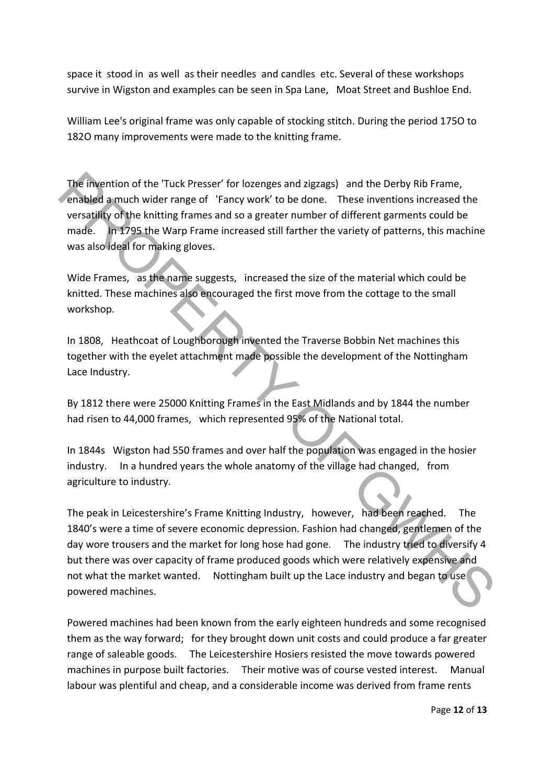space it stood in as well as their needles and candles etc. Several of these workshops survive in Wigston and examples can be seen in Spa Lane, Moat Street and Bushloe End.

William Lee's original frame was only capable of stocking stitch. During the period 175O to 182O many improvements were made to the knitting frame.

The invention of the 'Tuck Presser' for lozenges and zigzags) and the Derby Rib Frame, enabled a much wider range of 'Fancy work' to be done. These inventions increased the versatility of the knitting frames and so a greater number of different garments could be made. In 1795 the Warp Frame increased still farther the variety of patterns, this machine was also ideal for making gloves.

Wide Frames, as the name suggests, increased the size of the material which could be knitted. These machines also encouraged the first move from the cottage to the small workshop.

In 1808, Heathcoat of Loughborough invented the Traverse Bobbin Net machines this together with the eyelet attachment made possible the development of the Nottingham Lace Industry.

By 1812 there were 25000 Knitting Frames in the East Midlands and by 1844 the number had risen to 44,000 frames, which represented 95% of the National total.

In 1844s Wigston had 550 frames and over half the population was engaged in the hosier industry. In a hundred years the whole anatomy of the village had changed, from agriculture to industry.

The peak in Leicestershire's Frame Knitting Industry, however, had been reached. The 1840's were a time of severe economic depression. Fashion had changed, gentlemen of the day wore trousers and the market for long hose had gone. The industry tried to diversify 4 but there was over capacity of frame produced goods which were relatively expensive and not what the market wanted. Nottingham built up the Lace industry and began to use powered machines. The Invention of the "Tuck Presser" for lozenges and zigzags) and the Derby Rib Frame,<br>
Eensight a much wide rrange of "Francy work" to be done. These inventions increased the<br>
versatility of the knitting frames and or a g

Powered machines had been known from the early eighteen hundreds and some recognised them as the way forward; for they brought down unit costs and could produce a far greater range of saleable goods. The Leicestershire Hosiers resisted the move towards powered machines in purpose built factories. Their motive was of course vested interest. Manual labour was plentiful and cheap, and a considerable income was derived from frame rents